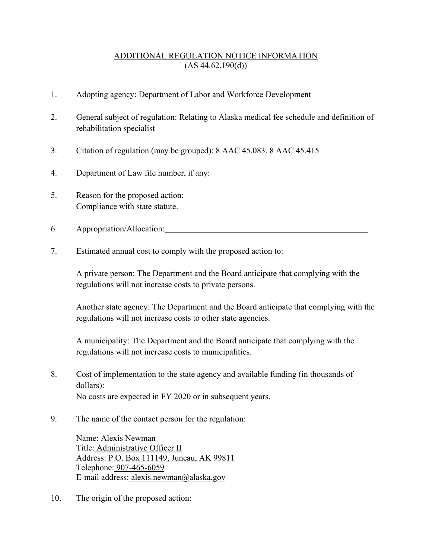## ADDITIONAL REGULATION NOTICE INFORMATION  $(AS 44.62.190(d))$

- 1. Adopting agency: Department of Labor and Workforce Development
- 2. General subject of regulation: Relating to Alaska medical fee schedule and definition of rehabilitation specialist
- 3. Citation of regulation (may be grouped): 8 AAC 45.083, 8 AAC 45.415
- 4. Department of Law file number, if any:
- 5. Reason for the proposed action: Compliance with state statute.
- 6. Appropriation/Allocation:
- 7. Estimated annual cost to comply with the proposed action to:

A private person: The Department and the Board anticipate that complying with the regulations will not increase costs to private persons.

Another state agency: The Department and the Board anticipate that complying with the regulations will not increase costs to other state agencies.

A municipality: The Department and the Board anticipate that complying with the regulations will not increase costs to municipalities.

8. Cost of implementation to the state agency and available funding (in thousands of dollars): No costs are expected in FY 2020 or in subsequent years.

9. The name of the contact person for the regulation:

Name: Alexis Newman Title: Administrative Officer II Address: P.O. Box 111149, Juneau, AK 99811 Telephone: 907-465-6059 E-mail address: alexis.newman@alaska.gov

10. The origin of the proposed action: